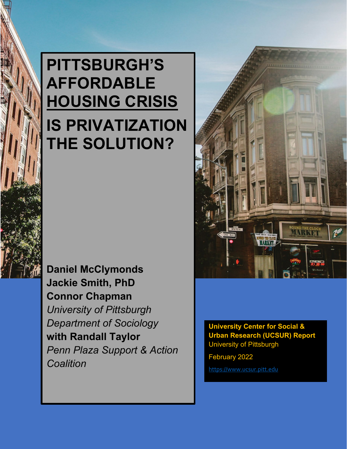# **PITTSBURGH'S AFFORDABLE HOUSING CRISIS IS PRIVATIZATION THE SOLUTION?**

**Daniel McClymonds Jackie Smith, PhD Connor Chapman** *University of Pittsburgh Department of Sociology* **with Randall Taylor**  *Penn Plaza Support & Action Coalition*



**University Center for Social & Urban Research (UCSUR) Report** University of Pittsburgh

February 2022

[https://www.ucsur.pitt.edu](https://www.ucsur.pitt.edu/center_reports.php)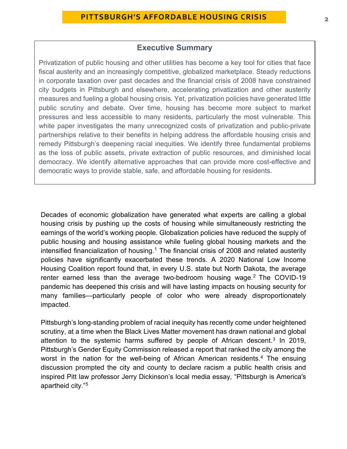#### **Executive Summary**

Privatization of public housing and other utilities has become a key tool for cities that face fiscal austerity and an increasingly competitive, globalized marketplace. Steady reductions in corporate taxation over past decades and the financial crisis of 2008 have constrained city budgets in Pittsburgh and elsewhere, accelerating privatization and other austerity measures and fueling a global housing crisis. Yet, privatization policies have generated little public scrutiny and debate. Over time, housing has become more subject to market pressures and less accessible to many residents, particularly the most vulnerable. This white paper investigates the many unrecognized costs of privatization and public-private partnerships relative to their benefits in helping address the affordable housing crisis and remedy Pittsburgh's deepening racial inequities. We identify three fundamental problems as the loss of public assets, private extraction of public resources, and diminished local democracy. We identify alternative approaches that can provide more cost-effective and democratic ways to provide stable, safe, and affordable housing for residents.

Decades of economic globalization have generated what experts are calling a global housing crisis by pushing up the costs of housing while simultaneously restricting the earnings of the world's working people. Globalization policies have reduced the supply of public housing and housing assistance while fueling global housing markets and the intensified financialization of housing.<sup>[1](#page-21-0)</sup> The financial crisis of 2008 and related austerity policies have significantly exacerbated these trends. A 2020 National Low Income Housing Coalition report found that, in every U.S. state but North Dakota, the average renter earned less than the average two-bedroom housing wage.<sup>[2](#page-21-1)</sup> The COVID-19 pandemic has deepened this crisis and will have lasting impacts on housing security for many families—particularly people of color who were already disproportionately impacted.

Pittsburgh's long-standing problem of racial inequity has recently come under heightened scrutiny, at a time when the Black Lives Matter movement has drawn national and global attention to the systemic harms suffered by people of African descent.<sup>[3](#page-21-2)</sup> In 2019, Pittsburgh's Gender Equity Commission released a report that ranked the city among the worst in the nation for the well-being of African American residents.<sup>[4](#page-21-3)</sup> The ensuing discussion prompted the city and county to declare racism a public health crisis and inspired Pitt law professor Jerry Dickinson's local media essay*,* "Pittsburgh is America's apartheid city."[5](#page-21-4)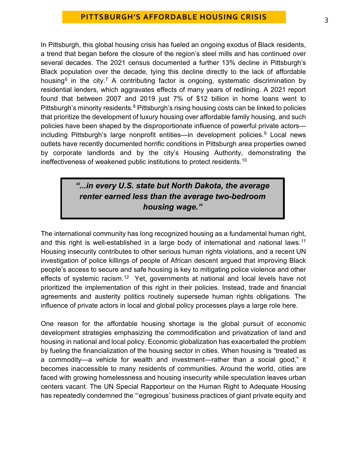In Pittsburgh, this global housing crisis has fueled an ongoing exodus of Black residents, a trend that began before the closure of the region's steel mills and has continued over several decades. The 2021 census documented a further 13% decline in Pittsburgh's Black population over the decade, tying this decline directly to the lack of affordable housing<sup>[6](#page-21-5)</sup> in the city.<sup>[7](#page-21-6)</sup> A contributing factor is ongoing, systematic discrimination by residential lenders, which aggravates effects of many years of redlining. A 2021 report found that between 2007 and 2019 just 7% of \$12 billion in home loans went to Pittsburgh's minority residents.<sup>[8](#page-21-7)</sup> Pittsburgh's rising housing costs can be linked to policies that prioritize the development of luxury housing over affordable family housing, and such policies have been shaped by the disproportionate influence of powerful private actors including Pittsburgh's large nonprofit entities—in development policies. [9](#page-21-8) Local news outlets have recently documented horrific conditions in Pittsburgh area properties owned by corporate landlords and by the city's Housing Authority, demonstrating the ineffectiveness of weakened public institutions to protect residents.[10](#page-21-9)

### *"...in every U.S. state but North Dakota, the average renter earned less than the average two-bedroom housing wage."*

The international community has long recognized housing as a fundamental human right, and this right is well-established in a large body of international and national laws.<sup>[11](#page-21-10)</sup> Housing insecurity contributes to other serious human rights violations, and a recent UN investigation of police killings of people of African descent argued that improving Black people's access to secure and safe housing is key to mitigating police violence and other effects of systemic racism.<sup>12</sup> Yet, governments at national and local levels have not prioritized the implementation of this right in their policies. Instead, trade and financial agreements and austerity politics routinely supersede human rights obligations. The influence of private actors in local and global policy processes plays a large role here.

One reason for the affordable housing shortage is the global pursuit of economic development strategies emphasizing the commodification and privatization of land and housing in national and local policy. Economic globalization has exacerbated the problem by fueling the financialization of the housing sector in cities. When housing is "treated as a commodity—a vehicle for wealth and investment—rather than a social good," it becomes inaccessible to many residents of communities. Around the world, cities are faced with growing homelessness and housing insecurity while speculation leaves urban centers vacant. The UN Special Rapporteur on the Human Right to Adequate Housing has repeatedly condemned the "'egregious' business practices of giant private equity and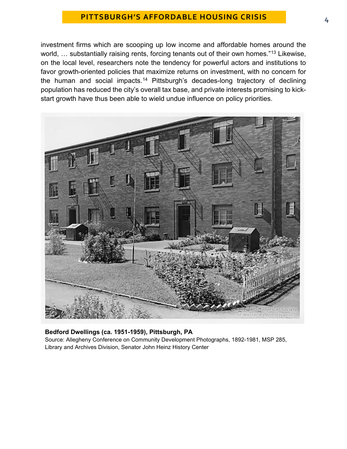investment firms which are scooping up low income and affordable homes around the world, ... substantially raising rents, forcing tenants out of their own homes."<sup>[13](#page-21-12)</sup> Likewise, on the local level, researchers note the tendency for powerful actors and institutions to favor growth-oriented policies that maximize returns on investment, with no concern for the human and social impacts.<sup>[14](#page-21-13)</sup> Pittsburgh's decades-long trajectory of declining population has reduced the city's overall tax base, and private interests promising to kickstart growth have thus been able to wield undue influence on policy priorities.



#### **Bedford Dwellings (ca. 1951-1959), Pittsburgh, PA**

Source: Allegheny Conference on Community Development Photographs, 1892-1981, MSP 285, Library and Archives Division, Senator John Heinz History Center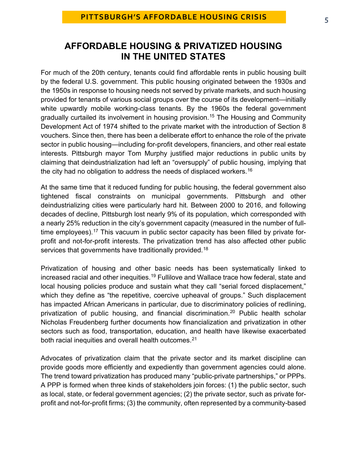# **AFFORDABLE HOUSING & PRIVATIZED HOUSING IN THE UNITED STATES**

For much of the 20th century, tenants could find affordable rents in public housing built by the federal U.S. government. This public housing originated between the 1930s and the 1950s in response to housing needs not served by private markets, and such housing provided for tenants of various social groups over the course of its development—initially white upwardly mobile working-class tenants. By the 1960s the federal government gradually curtailed its involvement in housing provision.<sup>[15](#page-21-14)</sup> The Housing and Community Development Act of 1974 shifted to the private market with the introduction of Section 8 vouchers. Since then, there has been a deliberate effort to enhance the role of the private sector in public housing—including for-profit developers, financiers, and other real estate interests. Pittsburgh mayor Tom Murphy justified major reductions in public units by claiming that deindustrialization had left an "oversupply" of public housing, implying that the city had no obligation to address the needs of displaced workers. $^{\rm 16}$  $^{\rm 16}$  $^{\rm 16}$ 

At the same time that it reduced funding for public housing, the federal government also tightened fiscal constraints on municipal governments. Pittsburgh and other deindustrializing cities were particularly hard hit. Between 2000 to 2016, and following decades of decline, Pittsburgh lost nearly 9% of its population, which corresponded with a nearly 25% reduction in the city's government capacity (measured in the number of full-time employees).<sup>[17](#page-22-1)</sup> This vacuum in public sector capacity has been filled by private forprofit and not-for-profit interests. The privatization trend has also affected other public services that governments have traditionally provided.<sup>[18](#page-22-2)</sup>

Privatization of housing and other basic needs has been systematically linked to increased racial and other inequities. [19](#page-22-3) Fullilove and Wallace trace how federal, state and local housing policies produce and sustain what they call "serial forced displacement," which they define as "the repetitive, coercive upheaval of groups." Such displacement has impacted African Americans in particular, due to discriminatory policies of redlining, privatization of public housing, and financial discrimination.[20](#page-22-4) Public health scholar Nicholas Freudenberg further documents how financialization and privatization in other sectors such as food, transportation, education, and health have likewise exacerbated both racial inequities and overall health outcomes.<sup>[21](#page-22-5)</sup>

Advocates of privatization claim that the private sector and its market discipline can provide goods more efficiently and expediently than government agencies could alone. The trend toward privatization has produced many "public-private partnerships," or PPPs. A PPP is formed when three kinds of stakeholders join forces: (1) the public sector, such as local, state, or federal government agencies; (2) the private sector, such as private forprofit and not-for-profit firms; (3) the community, often represented by a community-based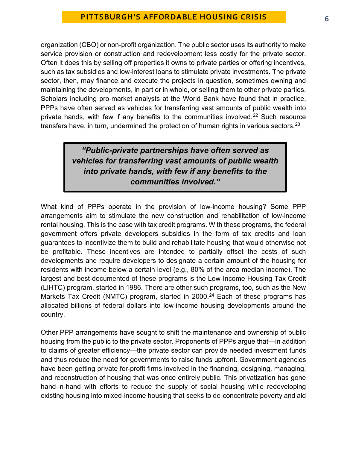organization (CBO) or non-profit organization. The public sector uses its authority to make service provision or construction and redevelopment less costly for the private sector. Often it does this by selling off properties it owns to private parties or offering incentives, such as tax subsidies and low-interest loans to stimulate private investments. The private sector, then, may finance and execute the projects in question, sometimes owning and maintaining the developments, in part or in whole, or selling them to other private parties. Scholars including pro-market analysts at the World Bank have found that in practice, PPPs have often served as vehicles for transferring vast amounts of public wealth into private hands, with few if any benefits to the communities involved.<sup>[22](#page-22-6)</sup> Such resource transfers have, in turn, undermined the protection of human rights in various sectors.  $23$ 

# *"Public-private partnerships have often served as vehicles for transferring vast amounts of public wealth into private hands, with few if any benefits to the communities involved."*

What kind of PPPs operate in the provision of low-income housing? Some PPP arrangements aim to stimulate the new construction and rehabilitation of low-income rental housing. This is the case with tax credit programs. With these programs, the federal government offers private developers subsidies in the form of tax credits and loan guarantees to incentivize them to build and rehabilitate housing that would otherwise not be profitable. These incentives are intended to partially offset the costs of such developments and require developers to designate a certain amount of the housing for residents with income below a certain level (e.g., 80% of the area median income). The largest and best-documented of these programs is the Low-Income Housing Tax Credit (LIHTC) program, started in 1986. There are other such programs, too, such as the New Markets Tax Credit (NMTC) program, started in 2000.<sup>[24](#page-22-8)</sup> Each of these programs has allocated billions of federal dollars into low-income housing developments around the country.

Other PPP arrangements have sought to shift the maintenance and ownership of public housing from the public to the private sector. Proponents of PPPs argue that—in addition to claims of greater efficiency—the private sector can provide needed investment funds and thus reduce the need for governments to raise funds upfront. Government agencies have been getting private for-profit firms involved in the financing, designing, managing, and reconstruction of housing that was once entirely public. This privatization has gone hand-in-hand with efforts to reduce the supply of social housing while redeveloping existing housing into mixed-income housing that seeks to de-concentrate poverty and aid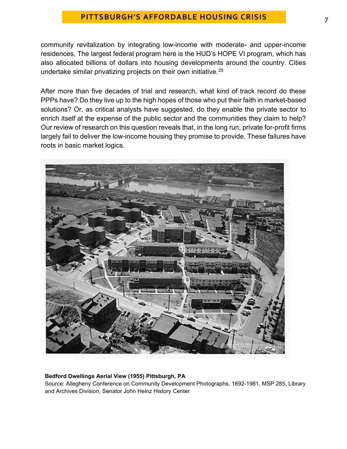community revitalization by integrating low-income with moderate- and upper-income residences. The largest federal program here is the HUD's HOPE VI program, which has also allocated billions of dollars into housing developments around the country. Cities undertake similar privatizing projects on their own initiative.[25](#page-22-9)

After more than five decades of trial and research, what kind of track record do these PPPs have? Do they live up to the high hopes of those who put their faith in market-based solutions? Or, as critical analysts have suggested, do they enable the private sector to enrich itself at the expense of the public sector and the communities they claim to help? Our review of research on this question reveals that, in the long run, private for-profit firms largely fail to deliver the low-income housing they promise to provide. These failures have roots in basic market logics.



#### **Bedford Dwellings Aerial View (1955) Pittsburgh, PA**

Source: Allegheny Conference on Community Development Photographs, 1892-1981, MSP 285, Library and Archives Division, Senator John Heinz History Center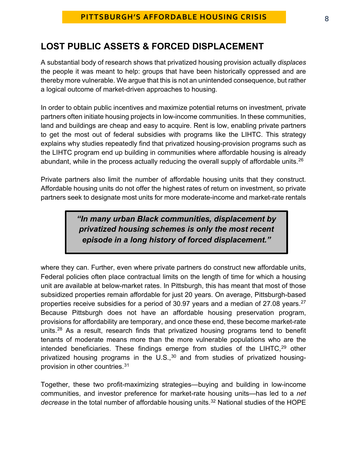# **LOST PUBLIC ASSETS & FORCED DISPLACEMENT**

A substantial body of research shows that privatized housing provision actually *displaces* the people it was meant to help: groups that have been historically oppressed and are thereby more vulnerable. We argue that this is not an unintended consequence, but rather a logical outcome of market-driven approaches to housing.

In order to obtain public incentives and maximize potential returns on investment, private partners often initiate housing projects in low-income communities. In these communities, land and buildings are cheap and easy to acquire. Rent is low, enabling private partners to get the most out of federal subsidies with programs like the LIHTC. This strategy explains why studies repeatedly find that privatized housing-provision programs such as the LIHTC program end up building in communities where affordable housing is already abundant, while in the process actually reducing the overall supply of affordable units.<sup>[26](#page-22-10)</sup>

Private partners also limit the number of affordable housing units that they construct. Affordable housing units do not offer the highest rates of return on investment, so private partners seek to designate most units for more moderate-income and market-rate rentals

### *"In many urban Black communities, displacement by privatized housing schemes is only the most recent episode in a long history of forced displacement."*

where they can. Further, even where private partners do construct new affordable units, Federal policies often place contractual limits on the length of time for which a housing unit are available at below-market rates. In Pittsburgh, this has meant that most of those subsidized properties remain affordable for just 20 years. On average, Pittsburgh-based properties receive subsidies for a period of 30.97 years and a median of [27](#page-23-0).08 years.<sup>27</sup> Because Pittsburgh does not have an affordable housing preservation program, provisions for affordability are temporary, and once these end, these become market-rate units.[28](#page-23-1) As a result, research finds that privatized housing programs tend to benefit tenants of moderate means more than the more vulnerable populations who are the intended beneficiaries. These findings emerge from studies of the LIHTC,<sup>[29](#page-23-2)</sup> other privatized housing programs in the  $U.S.,<sup>30</sup>$  $U.S.,<sup>30</sup>$  $U.S.,<sup>30</sup>$  and from studies of privatized housingprovision in other countries.[31](#page-23-4)

Together, these two profit-maximizing strategies—buying and building in low-income communities, and investor preference for market-rate housing units—has led to a *net*  decrease in the total number of affordable housing units.<sup>[32](#page-23-5)</sup> National studies of the HOPE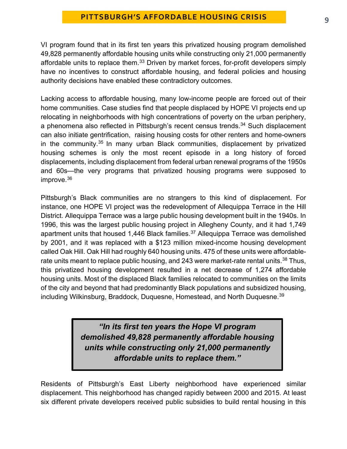VI program found that in its first ten years this privatized housing program demolished 49,828 permanently affordable housing units while constructing only 21,000 permanently affordable units to replace them.<sup>[33](#page-23-6)</sup> Driven by market forces, for-profit developers simply have no incentives to construct affordable housing, and federal policies and housing authority decisions have enabled these contradictory outcomes.

Lacking access to affordable housing, many low-income people are forced out of their home communities. Case studies find that people displaced by HOPE VI projects end up relocating in neighborhoods with high concentrations of poverty on the urban periphery, a phenomena also reflected in Pittsburgh's recent census trends.<sup>[34](#page-23-7)</sup> Such displacement can also initiate gentrification, raising housing costs for other renters and home-owners in the community.<sup>[35](#page-23-8)</sup> In many urban Black communities, displacement by privatized housing schemes is only the most recent episode in a long history of forced displacements, including displacement from federal urban renewal programs of the 1950s and 60s—the very programs that privatized housing programs were supposed to improve.[36](#page-23-9)

Pittsburgh's Black communities are no strangers to this kind of displacement. For instance, one HOPE VI project was the redevelopment of Allequippa Terrace in the Hill District. Allequippa Terrace was a large public housing development built in the 1940s. In 1996, this was the largest public housing project in Allegheny County, and it had 1,749 apartment units that housed 1,446 Black families. [37](#page-23-10) Allequippa Terrace was demolished by 2001, and it was replaced with a \$123 million mixed-income housing development called Oak Hill. Oak Hill had roughly 640 housing units. 475 of these units were affordable-rate units meant to replace public housing, and 243 were market-rate rental units.<sup>[38](#page-23-11)</sup> Thus, this privatized housing development resulted in a net decrease of 1,274 affordable housing units. Most of the displaced Black families relocated to communities on the limits of the city and beyond that had predominantly Black populations and subsidized housing, including Wilkinsburg, Braddock, Duquesne, Homestead, and North Duquesne.<sup>[39](#page-23-12)</sup>

> *"In its first ten years the Hope VI program demolished 49,828 permanently affordable housing units while constructing only 21,000 permanently affordable units to replace them."*

Residents of Pittsburgh's East Liberty neighborhood have experienced similar displacement. This neighborhood has changed rapidly between 2000 and 2015. At least six different private developers received public subsidies to build rental housing in this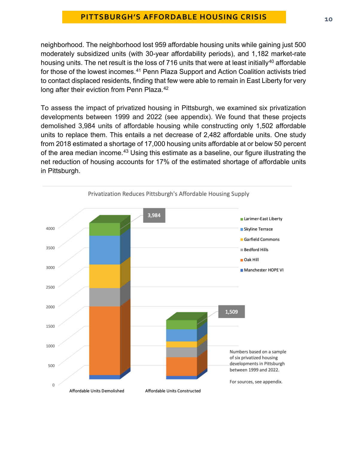neighborhood. The neighborhood lost 959 affordable housing units while gaining just 500 moderately subsidized units (with 30-year affordability periods), and 1,182 market-rate housing units. The net result is the loss of 716 units that were at least initially<sup>[40](#page-23-13)</sup> affordable for those of the lowest incomes.<sup>[41](#page-23-14)</sup> Penn Plaza Support and Action Coalition activists tried to contact displaced residents, finding that few were able to remain in East Liberty for very long after their eviction from Penn Plaza.<sup>[42](#page-23-15)</sup>

To assess the impact of privatized housing in Pittsburgh, we examined six privatization developments between 1999 and 2022 (see appendix). We found that these projects demolished 3,984 units of affordable housing while constructing only 1,502 affordable units to replace them. This entails a net decrease of 2,482 affordable units. One study from 2018 estimated a shortage of 17,000 housing units affordable at or below 50 percent of the area median income.<sup>[43](#page-24-0)</sup> Using this estimate as a baseline, our figure illustrating the net reduction of housing accounts for 17% of the estimated shortage of affordable units in Pittsburgh.

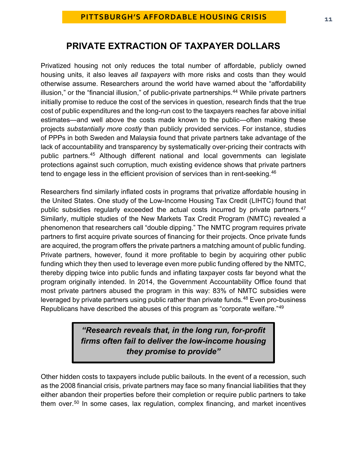# **PRIVATE EXTRACTION OF TAXPAYER DOLLARS**

Privatized housing not only reduces the total number of affordable, publicly owned housing units, it also leaves *all taxpayers* with more risks and costs than they would otherwise assume. Researchers around the world have warned about the "affordability illusion," or the "financial illusion," of public-private partnerships.<sup>[44](#page-24-1)</sup> While private partners initially promise to reduce the cost of the services in question, research finds that the true cost of public expenditures and the long-run cost to the taxpayers reaches far above initial estimates—and well above the costs made known to the public—often making these projects *substantially more costly* than publicly provided services. For instance, studies of PPPs in both Sweden and Malaysia found that private partners take advantage of the lack of accountability and transparency by systematically over-pricing their contracts with public partners.[45](#page-24-2) Although different national and local governments can legislate protections against such corruption, much existing evidence shows that private partners tend to engage less in the efficient provision of services than in rent-seeking.<sup>46</sup>

Researchers find similarly inflated costs in programs that privatize affordable housing in the United States. One study of the Low-Income Housing Tax Credit (LIHTC) found that public subsidies regularly exceeded the actual costs incurred by private partners.<sup>[47](#page-24-4)</sup> Similarly, multiple studies of the New Markets Tax Credit Program (NMTC) revealed a phenomenon that researchers call "double dipping." The NMTC program requires private partners to first acquire private sources of financing for their projects. Once private funds are acquired, the program offers the private partners a matching amount of public funding. Private partners, however, found it more profitable to begin by acquiring other public funding which they then used to leverage even more public funding offered by the NMTC, thereby dipping twice into public funds and inflating taxpayer costs far beyond what the program originally intended. In 2014, the Government Accountability Office found that most private partners abused the program in this way: 83% of NMTC subsidies were leveraged by private partners using public rather than private funds. $48$  Even pro-business Republicans have described the abuses of this program as "corporate welfare."[49](#page-24-6)

> *"Research reveals that, in the long run, for-profit firms often fail to deliver the low-income housing they promise to provide"*

Other hidden costs to taxpayers include public bailouts. In the event of a recession, such as the 2008 financial crisis, private partners may face so many financial liabilities that they either abandon their properties before their completion or require public partners to take them over.<sup>[50](#page-24-7)</sup> In some cases, lax regulation, complex financing, and market incentives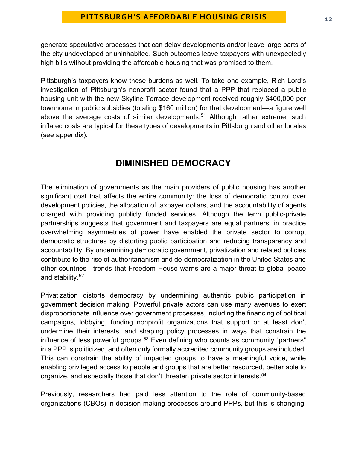generate speculative processes that can delay developments and/or leave large parts of the city undeveloped or uninhabited. Such outcomes leave taxpayers with unexpectedly high bills without providing the affordable housing that was promised to them.

Pittsburgh's taxpayers know these burdens as well. To take one example, Rich Lord's investigation of Pittsburgh's nonprofit sector found that a PPP that replaced a public housing unit with the new Skyline Terrace development received roughly \$400,000 per townhome in public subsidies (totaling \$160 million) for that development—a figure well above the average costs of similar developments.<sup>[51](#page-24-8)</sup> Although rather extreme, such inflated costs are typical for these types of developments in Pittsburgh and other locales (see appendix).

# **DIMINISHED DEMOCRACY**

The elimination of governments as the main providers of public housing has another significant cost that affects the entire community: the loss of democratic control over development policies, the allocation of taxpayer dollars, and the accountability of agents charged with providing publicly funded services. Although the term public-private partnerships suggests that government and taxpayers are equal partners, in practice overwhelming asymmetries of power have enabled the private sector to corrupt democratic structures by distorting public participation and reducing transparency and accountability. By undermining democratic government, privatization and related policies contribute to the rise of authoritarianism and de-democratization in the United States and other countries—trends that Freedom House warns are a major threat to global peace and stability.[52](#page-24-9)

Privatization distorts democracy by undermining authentic public participation in government decision making. Powerful private actors can use many avenues to exert disproportionate influence over government processes, including the financing of political campaigns, lobbying, funding nonprofit organizations that support or at least don't undermine their interests, and shaping policy processes in ways that constrain the influence of less powerful groups.<sup>53</sup> Even defining who counts as community "partners" in a PPP is politicized, and often only formally accredited community groups are included. This can constrain the ability of impacted groups to have a meaningful voice, while enabling privileged access to people and groups that are better resourced, better able to organize, and especially those that don't threaten private sector interests.<sup>[54](#page-24-11)</sup>

Previously, researchers had paid less attention to the role of community-based organizations (CBOs) in decision-making processes around PPPs, but this is changing.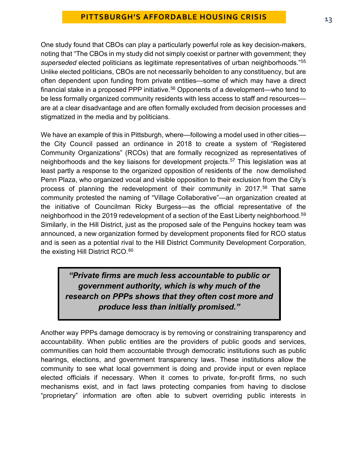One study found that CBOs can play a particularly powerful role as key decision-makers, noting that "The CBOs in my study did not simply coexist or partner with government; they *superseded* elected politicians as legitimate representatives of urban neighborhoods."[55](#page-24-12) Unlike elected politicians, CBOs are not necessarily beholden to any constituency, but are often dependent upon funding from private entities—some of which may have a direct financial stake in a proposed PPP initiative.<sup>[56](#page-24-13)</sup> Opponents of a development—who tend to be less formally organized community residents with less access to staff and resources are at a clear disadvantage and are often formally excluded from decision processes and stigmatized in the media and by politicians.

We have an example of this in Pittsburgh, where—following a model used in other cities the City Council passed an ordinance in 2018 to create a system of "Registered Community Organizations" (RCOs) that are formally recognized as representatives of neighborhoods and the key liaisons for development projects.<sup>[57](#page-24-14)</sup> This legislation was at least partly a response to the organized opposition of residents of the now demolished Penn Plaza, who organized vocal and visible opposition to their exclusion from the City's process of planning the redevelopment of their community in 2017.<sup>[58](#page-24-15)</sup> That same community protested the naming of "Village Collaborative"—an organization created at the initiative of Councilman Ricky Burgess—as the official representative of the neighborhood in the 2019 redevelopment of a section of the East Liberty neighborhood.<sup>[59](#page-25-0)</sup> Similarly, in the Hill District, just as the proposed sale of the Penguins hockey team was announced, a new organization formed by development proponents filed for RCO status and is seen as a potential rival to the Hill District Community Development Corporation, the existing Hill District RCO.<sup>[60](#page-25-1)</sup>

*"Private firms are much less accountable to public or government authority, which is why much of the research on PPPs shows that they often cost more and produce less than initially promised."*

Another way PPPs damage democracy is by removing or constraining transparency and accountability. When public entities are the providers of public goods and services, communities can hold them accountable through democratic institutions such as public hearings, elections, and government transparency laws. These institutions allow the community to see what local government is doing and provide input or even replace elected officials if necessary. When it comes to private, for-profit firms, no such mechanisms exist, and in fact laws protecting companies from having to disclose "proprietary" information are often able to subvert overriding public interests in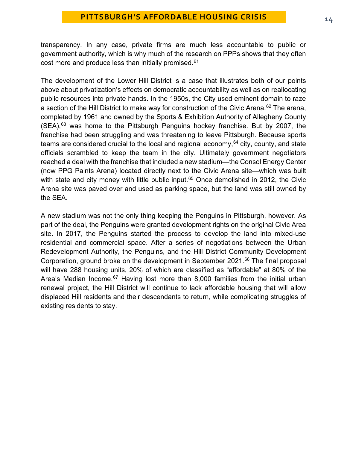transparency. In any case, private firms are much less accountable to public or government authority, which is why much of the research on PPPs shows that they often cost more and produce less than initially promised.<sup>[61](#page-25-2)</sup>

The development of the Lower Hill District is a case that illustrates both of our points above about privatization's effects on democratic accountability as well as on reallocating public resources into private hands. In the 1950s, the City used eminent domain to raze a section of the Hill District to make way for construction of the Civic Arena.<sup>[62](#page-25-3)</sup> The arena, completed by 1961 and owned by the Sports & Exhibition Authority of Allegheny County  $(SEA)$ ,  $63$  was home to the Pittsburgh Penguins hockey franchise. But by 2007, the franchise had been struggling and was threatening to leave Pittsburgh. Because sports teams are considered crucial to the local and regional economy,  $64$  city, county, and state officials scrambled to keep the team in the city. Ultimately government negotiators reached a deal with the franchise that included a new stadium—the Consol Energy Center (now PPG Paints Arena) located directly next to the Civic Arena site—which was built with state and city money with little public input.<sup>[65](#page-25-6)</sup> Once demolished in 2012, the Civic Arena site was paved over and used as parking space, but the land was still owned by the SEA.

A new stadium was not the only thing keeping the Penguins in Pittsburgh, however. As part of the deal, the Penguins were granted development rights on the original Civic Area site. In 2017, the Penguins started the process to develop the land into mixed-use residential and commercial space. After a series of negotiations between the Urban Redevelopment Authority, the Penguins, and the Hill District Community Development Corporation, ground broke on the development in September 2021.<sup>[66](#page-25-7)</sup> The final proposal will have 288 housing units, 20% of which are classified as "affordable" at 80% of the Area's Median Income.<sup>[67](#page-25-8)</sup> Having lost more than 8,000 families from the initial urban renewal project, the Hill District will continue to lack affordable housing that will allow displaced Hill residents and their descendants to return, while complicating struggles of existing residents to stay.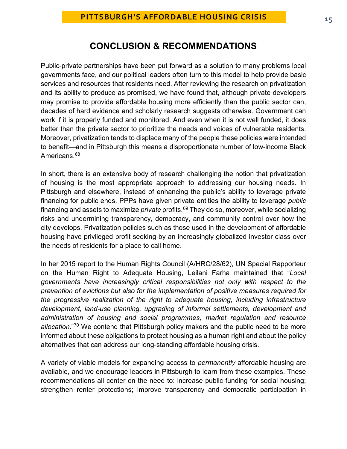# **CONCLUSION & RECOMMENDATIONS**

Public-private partnerships have been put forward as a solution to many problems local governments face, and our political leaders often turn to this model to help provide basic services and resources that residents need. After reviewing the research on privatization and its ability to produce as promised, we have found that, although private developers may promise to provide affordable housing more efficiently than the public sector can, decades of hard evidence and scholarly research suggests otherwise. Government can work if it is properly funded and monitored. And even when it is not well funded, it does better than the private sector to prioritize the needs and voices of vulnerable residents. Moreover, privatization tends to displace many of the people these policies were intended to benefit—and in Pittsburgh this means a disproportionate number of low-income Black Americans.<sup>68</sup>

In short, there is an extensive body of research challenging the notion that privatization of housing is the most appropriate approach to addressing our housing needs. In Pittsburgh and elsewhere, instead of enhancing the public's ability to leverage private financing for public ends, PPPs have given private entities the ability to leverage *public* financing and assets to maximize *private* profits.<sup>[69](#page-26-0)</sup> They do so, moreover, while socializing risks and undermining transparency, democracy, and community control over how the city develops. Privatization policies such as those used in the development of affordable housing have privileged profit seeking by an increasingly globalized investor class over the needs of residents for a place to call home.

In her 2015 report to the Human Rights Council (A/HRC/28/62), UN Special Rapporteur on the Human Right to Adequate Housing, Leilani Farha maintained that "*Local governments have increasingly critical responsibilities not only with respect to the prevention of evictions but also for the implementation of positive measures required for the progressive realization of the right to adequate housing, including infrastructure development, land-use planning, upgrading of informal settlements, development and administration of housing and social programmes, market regulation and resource allocation*."[70](#page-26-1) We contend that Pittsburgh policy makers and the public need to be more informed about these obligations to protect housing as a human right and about the policy alternatives that can address our long-standing affordable housing crisis.

A variety of viable models for expanding access to *permanently* affordable housing are available, and we encourage leaders in Pittsburgh to learn from these examples. These recommendations all center on the need to: increase public funding for social housing; strengthen renter protections; improve transparency and democratic participation in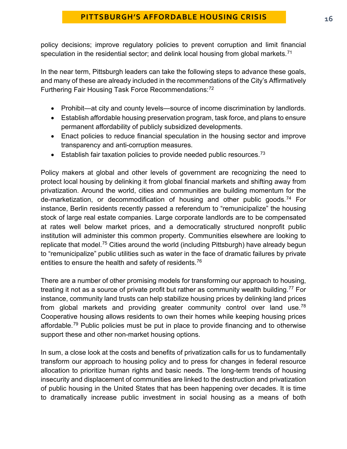policy decisions; improve regulatory policies to prevent corruption and limit financial speculation in the residential sector; and delink local housing from global markets.<sup>[71](#page-26-2)</sup>

In the near term, Pittsburgh leaders can take the following steps to advance these goals, and many of these are already included in the recommendations of the City's Affirmatively Furthering Fair Housing Task Force Recommendations:[72](#page-26-3)

- Prohibit—at city and county levels—source of income discrimination by landlords.
- Establish affordable housing preservation program, task force, and plans to ensure permanent affordability of publicly subsidized developments.
- Enact policies to reduce financial speculation in the housing sector and improve transparency and anti-corruption measures.
- **•** Establish fair taxation policies to provide needed public resources.<sup>[73](#page-26-4)</sup>

Policy makers at global and other levels of government are recognizing the need to protect local housing by delinking it from global financial markets and shifting away from privatization. Around the world, cities and communities are building momentum for the de-marketization, or decommodification of housing and other public goods.[74](#page-26-5) For instance, Berlin residents recently passed a referendum to "remunicipalize" the housing stock of large real estate companies. Large corporate landlords are to be compensated at rates well below market prices, and a democratically structured nonprofit public institution will administer this common property. Communities elsewhere are looking to replicate that model[.75](#page-26-6) Cities around the world (including Pittsburgh) have already begun to "remunicipalize" public utilities such as water in the face of dramatic failures by private entities to ensure the health and safety of residents.<sup>[76](#page-26-7)</sup>

There are a number of other promising models for transforming our approach to housing, treating it not as a source of private profit but rather as community wealth building.<sup>[77](#page-26-8)</sup> For instance, community land trusts can help stabilize housing prices by delinking land prices from global markets and providing greater community control over land use.<sup>[78](#page-26-9)</sup> Cooperative housing allows residents to own their homes while keeping housing prices affordable.[79](#page-26-10) Public policies must be put in place to provide financing and to otherwise support these and other non-market housing options.

In sum, a close look at the costs and benefits of privatization calls for us to fundamentally transform our approach to housing policy and to press for changes in federal resource allocation to prioritize human rights and basic needs. The long-term trends of housing insecurity and displacement of communities are linked to the destruction and privatization of public housing in the United States that has been happening over decades. It is time to dramatically increase public investment in social housing as a means of both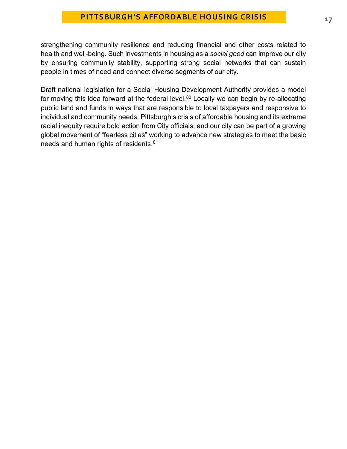strengthening community resilience and reducing financial and other costs related to health and well-being. Such investments in housing as a *social good* can improve our city by ensuring community stability, supporting strong social networks that can sustain people in times of need and connect diverse segments of our city.

Draft national legislation for a Social Housing Development Authority provides a model for moving this idea forward at the federal level. $80$  Locally we can begin by re-allocating public land and funds in ways that are responsible to local taxpayers and responsive to individual and community needs. Pittsburgh's crisis of affordable housing and its extreme racial inequity require bold action from City officials, and our city can be part of a growing global movement of "fearless cities" working to advance new strategies to meet the basic needs and human rights of residents.<sup>[81](#page-26-12)</sup>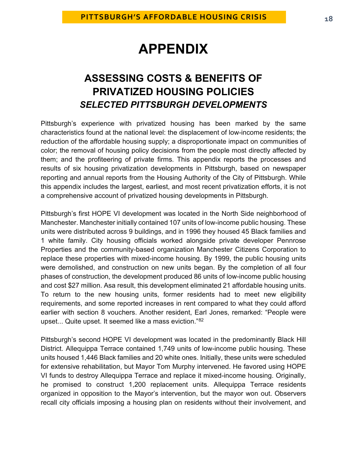# **APPENDIX**

# **ASSESSING COSTS & BENEFITS OF PRIVATIZED HOUSING POLICIES**  *SELECTED PITTSBURGH DEVELOPMENTS*

Pittsburgh's experience with privatized housing has been marked by the same characteristics found at the national level: the displacement of low-income residents; the reduction of the affordable housing supply; a disproportionate impact on communities of color; the removal of housing policy decisions from the people most directly affected by them; and the profiteering of private firms. This appendix reports the processes and results of six housing privatization developments in Pittsburgh, based on newspaper reporting and annual reports from the Housing Authority of the City of Pittsburgh. While this appendix includes the largest, earliest, and most recent privatization efforts, it is not a comprehensive account of privatized housing developments in Pittsburgh.

Pittsburgh's first HOPE VI development was located in the North Side neighborhood of Manchester. Manchester initially contained 107 units of low-income public housing. These units were distributed across 9 buildings, and in 1996 they housed 45 Black families and 1 white family. City housing officials worked alongside private developer Pennrose Properties and the community-based organization Manchester Citizens Corporation to replace these properties with mixed-income housing. By 1999, the public housing units were demolished, and construction on new units began. By the completion of all four phases of construction, the development produced 86 units of low-income public housing and cost \$27 million. Asa result, this development eliminated 21 affordable housing units. To return to the new housing units, former residents had to meet new eligibility requirements, and some reported increases in rent compared to what they could afford earlier with section 8 vouchers. Another resident, Earl Jones, remarked: "People were upset... Quite upset. It seemed like a mass eviction."[82](#page-26-13)

Pittsburgh's second HOPE VI development was located in the predominantly Black Hill District. Allequippa Terrace contained 1,749 units of low-income public housing. These units housed 1,446 Black families and 20 white ones. Initially, these units were scheduled for extensive rehabilitation, but Mayor Tom Murphy intervened. He favored using HOPE VI funds to destroy Allequippa Terrace and replace it mixed-income housing. Originally, he promised to construct 1,200 replacement units. Allequippa Terrace residents organized in opposition to the Mayor's intervention, but the mayor won out. Observers recall city officials imposing a housing plan on residents without their involvement, and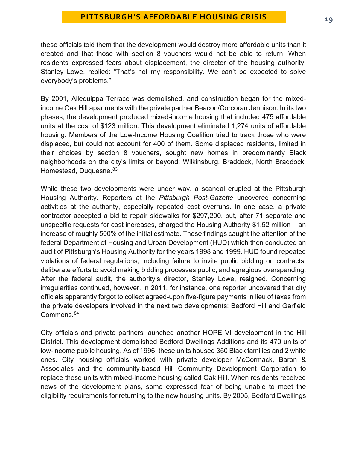these officials told them that the development would destroy more affordable units than it created and that those with section 8 vouchers would not be able to return. When residents expressed fears about displacement, the director of the housing authority, Stanley Lowe, replied: "That's not my responsibility. We can't be expected to solve everybody's problems."

By 2001, Allequippa Terrace was demolished, and construction began for the mixedincome Oak Hill apartments with the private partner Beacon/Corcoran Jennison. In its two phases, the development produced mixed-income housing that included 475 affordable units at the cost of \$123 million. This development eliminated 1,274 units of affordable housing. Members of the Low-Income Housing Coalition tried to track those who were displaced, but could not account for 400 of them. Some displaced residents, limited in their choices by section 8 vouchers, sought new homes in predominantly Black neighborhoods on the city's limits or beyond: Wilkinsburg, Braddock, North Braddock, Homestead, Duquesne. [83](#page-26-14)

While these two developments were under way, a scandal erupted at the Pittsburgh Housing Authority. Reporters at the *Pittsburgh Post-Gazette* uncovered concerning activities at the authority, especially repeated cost overruns. In one case, a private contractor accepted a bid to repair sidewalks for \$297,200, but, after 71 separate and unspecific requests for cost increases, charged the Housing Authority \$1.52 million – an increase of roughly 500% of the initial estimate. These findings caught the attention of the federal Department of Housing and Urban Development (HUD) which then conducted an audit of Pittsburgh's Housing Authority for the years 1998 and 1999. HUD found repeated violations of federal regulations, including failure to invite public bidding on contracts, deliberate efforts to avoid making bidding processes public, and egregious overspending. After the federal audit, the authority's director, Stanley Lowe, resigned. Concerning irregularities continued, however. In 2011, for instance, one reporter uncovered that city officials apparently forgot to collect agreed-upon five-figure payments in lieu of taxes from the private developers involved in the next two developments: Bedford Hill and Garfield Commons.<sup>[84](#page-27-0)</sup>

City officials and private partners launched another HOPE VI development in the Hill District. This development demolished Bedford Dwellings Additions and its 470 units of low-income public housing. As of 1996, these units housed 350 Black families and 2 white ones. City housing officials worked with private developer McCormack, Baron & Associates and the community-based Hill Community Development Corporation to replace these units with mixed-income housing called Oak Hill. When residents received news of the development plans, some expressed fear of being unable to meet the eligibility requirements for returning to the new housing units. By 2005, Bedford Dwellings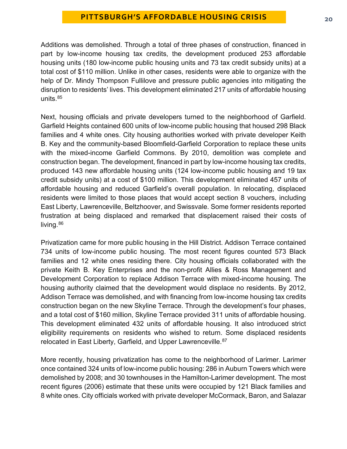Additions was demolished. Through a total of three phases of construction, financed in part by low-income housing tax credits, the development produced 253 affordable housing units (180 low-income public housing units and 73 tax credit subsidy units) at a total cost of \$110 million. Unlike in other cases, residents were able to organize with the help of Dr. Mindy Thompson Fullilove and pressure public agencies into mitigating the disruption to residents' lives. This development eliminated 217 units of affordable housing units.<sup>[85](#page-27-1)</sup>

Next, housing officials and private developers turned to the neighborhood of Garfield. Garfield Heights contained 600 units of low-income public housing that housed 298 Black families and 4 white ones. City housing authorities worked with private developer Keith B. Key and the community-based Bloomfield-Garfield Corporation to replace these units with the mixed-income Garfield Commons. By 2010, demolition was complete and construction began. The development, financed in part by low-income housing tax credits, produced 143 new affordable housing units (124 low-income public housing and 19 tax credit subsidy units) at a cost of \$100 million. This development eliminated 457 units of affordable housing and reduced Garfield's overall population. In relocating, displaced residents were limited to those places that would accept section 8 vouchers, including East Liberty, Lawrenceville, Beltzhoover, and Swissvale. Some former residents reported frustration at being displaced and remarked that displacement raised their costs of living. [86](#page-27-2)

Privatization came for more public housing in the Hill District. Addison Terrace contained 734 units of low-income public housing. The most recent figures counted 573 Black families and 12 white ones residing there. City housing officials collaborated with the private Keith B. Key Enterprises and the non-profit Allies & Ross Management and Development Corporation to replace Addison Terrace with mixed-income housing. The housing authority claimed that the development would displace no residents. By 2012, Addison Terrace was demolished, and with financing from low-income housing tax credits construction began on the new Skyline Terrace. Through the development's four phases, and a total cost of \$160 million, Skyline Terrace provided 311 units of affordable housing. This development eliminated 432 units of affordable housing. It also introduced strict eligibility requirements on residents who wished to return. Some displaced residents relocated in East Liberty, Garfield, and Upper Lawrenceville.<sup>87</sup>

More recently, housing privatization has come to the neighborhood of Larimer. Larimer once contained 324 units of low-income public housing: 286 in Auburn Towers which were demolished by 2008; and 30 townhouses in the Hamilton-Larimer development. The most recent figures (2006) estimate that these units were occupied by 121 Black families and 8 white ones. City officials worked with private developer McCormack, Baron, and Salazar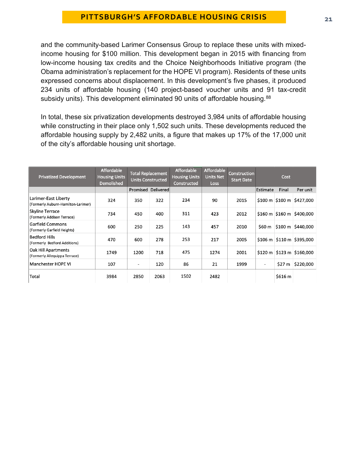and the community-based Larimer Consensus Group to replace these units with mixedincome housing for \$100 million. This development began in 2015 with financing from low-income housing tax credits and the Choice Neighborhoods Initiative program (the Obama administration's replacement for the HOPE VI program). Residents of these units expressed concerns about displacement. In this development's five phases, it produced 234 units of affordable housing (140 project-based voucher units and 91 tax-credit subsidy units). This development eliminated 90 units of affordable housing.<sup>[88](#page-27-4)</sup>

In total, these six privatization developments destroyed 3,984 units of affordable housing while constructing in their place only 1,502 such units. These developments reduced the affordable housing supply by 2,482 units, a figure that makes up 17% of the 17,000 unit of the city's affordable housing unit shortage.

| <b>Privatized Development</b>                              | <b>Affordable</b><br><b>Housing Units</b><br><b>Demolished</b> | <b>Total Replacement</b><br><b>Units Constructed</b> |                    | <b>Affordable</b><br><b>Housing Units</b><br>Constructed | Affordable<br><b>Units Net</b><br><b>Loss</b> | <b>Construction</b><br><b>Start Date</b> | Cost                         |         |                                              |
|------------------------------------------------------------|----------------------------------------------------------------|------------------------------------------------------|--------------------|----------------------------------------------------------|-----------------------------------------------|------------------------------------------|------------------------------|---------|----------------------------------------------|
|                                                            |                                                                |                                                      | Promised Delivered |                                                          |                                               |                                          | Estimate                     | Final   | Per unit                                     |
| Larimer-East Liberty<br>(Formerly Auburn-Hamilton-Larimer) | 324                                                            | 350                                                  | 322                | 234                                                      | 90                                            | 2015                                     |                              |         | $$100 m$ \$100 m \$427,000                   |
| <b>Skyline Terrace</b><br>(Formerly Addison Terrace)       | 734                                                            | 450                                                  | 400                | 311                                                      | 423                                           | 2012                                     |                              |         | $$160 \text{ m}$ $$160 \text{ m}$ $$400,000$ |
| Garfield Commons<br>(Formerly Garfield Heights)            | 600                                                            | 250                                                  | 225                | 143                                                      | 457                                           | 2010                                     | \$60 m                       |         | $\frac{15100 \text{ m}}{2440,000}$           |
| <b>Bedford Hills</b><br>(Formerly Bedford Additions)       | 470                                                            | 600                                                  | 278                | 253                                                      | 217                                           | 2005                                     |                              |         | $$106 \text{ m}$ $$110 \text{ m}$ $$395,000$ |
| Oak Hill Apartments<br>(Formerly Allequippa Terrace)       | 1749                                                           | 1200                                                 | 718                | 475                                                      | 1274                                          | 2001                                     |                              |         | $$120 m$ $$123 m$ $$160,000$                 |
| Manchester HOPE VI                                         | 107                                                            | $\overline{\phantom{a}}$                             | 120                | 86                                                       | 21                                            | 1999                                     | $\qquad \qquad \blacksquare$ | \$27 m  | \$220,000                                    |
| Total                                                      | 3984                                                           | 2850                                                 | 2063               | 1502                                                     | 2482                                          |                                          |                              | \$616 m |                                              |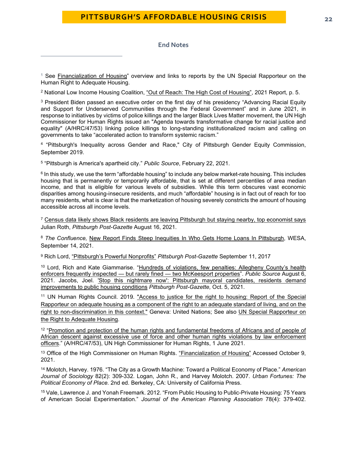#### **End Notes**

<span id="page-21-0"></span><sup>1</sup> See [Financialization of Housing"](https://www.ohchr.org/EN/Issues/Housing/Pages/FinancializationHousing.aspx) overview and links to reports by the UN Special Rapporteur on the Human Right to Adequate Housing.

<span id="page-21-1"></span><sup>2</sup> National Low Income Housing Coalition, ["Out of Reach: The High Cost of Housing",](https://nlihc.org/sites/default/files/oor/2021/OOR_2021_Mini-Book.pdf) 2021 Report, p. 5.

<span id="page-21-2"></span><sup>3</sup> President Biden passed an executive order on the first day of his presidency "Advancing Racial Equity [and Support for Underserved Communities through the Federal Government"](https://www.whitehouse.gov/briefing-room/presidential-actions/2021/01/20/executive-order-advancing-racial-equity-and-support-for-underserved-communities-through-the-federal-government/) and in June 2021, in response to initiatives by victims of police killings and the larger Black Lives Matter movement, the UN High Commissioner for Human Rights issued an ["Agenda towards transformative change for racial justice and](https://nam12.safelinks.protection.outlook.com/?url=https%3A%2F%2Fundocs.org%2Fen%2FA%2FHRC%2F47%2F53&data=04%7C01%7Cjgsmith%40pitt.edu%7C4f1293dfac17455ac33f08d951d456b8%7C9ef9f489e0a04eeb87cc3a526112fd0d%7C1%7C0%7C637630794684926331%7CUnknown%7CTWFpbGZsb3d8eyJWIjoiMC4wLjAwMDAiLCJQIjoiV2luMzIiLCJBTiI6Ik1haWwiLCJXVCI6Mn0%3D%7C1000&sdata=SF%2BGMwL3CBbyRNHtcNuIAcnHHc7War7nFjOhaBOgq3g%3D&reserved=0)  [equality"](https://nam12.safelinks.protection.outlook.com/?url=https%3A%2F%2Fundocs.org%2Fen%2FA%2FHRC%2F47%2F53&data=04%7C01%7Cjgsmith%40pitt.edu%7C4f1293dfac17455ac33f08d951d456b8%7C9ef9f489e0a04eeb87cc3a526112fd0d%7C1%7C0%7C637630794684926331%7CUnknown%7CTWFpbGZsb3d8eyJWIjoiMC4wLjAwMDAiLCJQIjoiV2luMzIiLCJBTiI6Ik1haWwiLCJXVCI6Mn0%3D%7C1000&sdata=SF%2BGMwL3CBbyRNHtcNuIAcnHHc7War7nFjOhaBOgq3g%3D&reserved=0) (A/HRC/47/53) linking police killings to long-standing institutionalized racism and calling on governments to take "accelerated action to transform systemic racism."

<span id="page-21-3"></span><sup>4</sup> ["Pittsburgh's Inequality across Gender and Race,"](https://apps.pittsburghpa.gov/redtail/images/10645__Pittsburgh) City of Pittsburgh Gender Equity Commission, September 2019.

<span id="page-21-4"></span>5 ["Pittsburgh is America's apartheid city.](https://www.publicsource.org/commentary-jerry-dickinson-pittsburgh-is-americas-apartheid-city/#:%7E:text=Pittsburgh%20was%20America%27s%20apartheid%20city%2C%20not%20the%20nation%27s,The%20result%20was%20severe%20levels%20of%20occupational%20segregation.)" *Public Source*, February 22, 2021.

<span id="page-21-5"></span> $6$  In this study, we use the term "affordable housing" to include any below market-rate housing. This includes housing that is permanently or temporarily affordable, that is set at different percentiles of area median income, and that is eligible for various levels of subsidies. While this term obscures vast economic disparities among housing-insecure residents, and much "affordable" housing is in fact out of reach for too many residents, what is clear is that the marketization of housing severely constricts the amount of housing accessible across all income levels.

<span id="page-21-6"></span><sup>7</sup> [Census data likely shows Black residents are leaving Pittsburgh but staying nearby, top economist says](https://www.post-gazette.com/local/city/2021/08/16/census-data-2020-pittsburgh-black-flight-allegheny-county-baldwin-marshall-mckeesport-munhall-penn-hills/stories/202108160085) Julian Roth, *Pittsburgh Post-Gazette* August 16, 2021.

<span id="page-21-7"></span><sup>8</sup> *The Confluence,* [New Report Finds Steep Inequities In Who Gets Home Loans In Pittsburgh,](https://www.wesa.fm/show/the-confluence/2021-09-14/new-report-finds-steep-inequities-in-who-gets-home-loans-in-pittsburgh) WESA, September 14, 2021.

<span id="page-21-8"></span><sup>9</sup> Rich Lord, ["Pittsburgh's Powerful Nonprofits"](https://newsinteractive.post-gazette.com/nonprofit/) *Pittsburgh Post-Gazette* September 11, 2017

<span id="page-21-9"></span><sup>10</sup> Lord, Rich and Kate Giammarise. ["Hundreds of violations, few penalties: Allegheny County's health](https://www.publicsource.org/allegheny-county-health-department-housing-code-penalties-mckeesport-pnc-bank/)  [enforcers frequently inspected — but rarely fined — two McKeesport](https://www.publicsource.org/allegheny-county-health-department-housing-code-penalties-mckeesport-pnc-bank/) properties". *Public Source* August 6, 2021. Jacobs, Joel. ['Stop this nightmare now': Pittsburgh mayoral candidates, residents demand](https://www.post-gazette.com/news/social-services/2021/10/05/pittsburgh-allegheny-county-public-housing-authority-ceo-binion-poor-conditions-northview-heights-bedford-dwellings-gainey-moreno/stories/202110050149)  [improvements to public housing conditions](https://www.post-gazette.com/news/social-services/2021/10/05/pittsburgh-allegheny-county-public-housing-authority-ceo-binion-poor-conditions-northview-heights-bedford-dwellings-gainey-moreno/stories/202110050149) *Pittsburgh Post-Gazette,* Oct. 5, 2021.

<span id="page-21-10"></span><sup>11</sup> UN Human Rights Council. 2019. ["Access to justice for the right to housing: Report of the Special](https://ap.ohchr.org/documents/dpage_e.aspx?si=A/HRC/40/61)  [Rapporteur on adequate housing as a component of the right to an adequate standard of living, and on the](https://ap.ohchr.org/documents/dpage_e.aspx?si=A/HRC/40/61)  [right to non-discrimination in this context."](https://ap.ohchr.org/documents/dpage_e.aspx?si=A/HRC/40/61) Geneva: United Nations; See also UN Special Rapporteur on [the Right to Adequate Housing.](https://www.ohchr.org/en/issues/housing/pages/housingindex.aspx)

<span id="page-21-11"></span><sup>12</sup> "Promotion and protection of the human rights and fundamental freedoms of Africans and of people of [African descent against excessive use of force and other human rights violations by law enforcement](https://undocs.org/en/A/HRC/47/53)  [officers.](https://undocs.org/en/A/HRC/47/53)" (A/HRC/47/53), UN High Commissioner for Human Rights, 1 June 2021.

<span id="page-21-12"></span><sup>13</sup> Office of the High Commissioner on Human Rights. ["Financialization of Housing"](https://www.ohchr.org/EN/Issues/Housing/Pages/FinancializationHousing.aspx) Accessed October 9, 2021.

<span id="page-21-13"></span><sup>14</sup> Molotch, Harvey. 1976. "The City as a Growth Machine: Toward a Political Economy of Place." *American Journal of Sociology* 82(2): 309-332. Logan, John R., and Harvey Molotch. 2007. *Urban Fortunes: The Political Economy of Place.* 2nd ed. Berkeley, CA: University of California Press.

<span id="page-21-14"></span><sup>15</sup> Vale, Lawrence J. and Yonah Freemark. 2012. "From Public Housing to Public-Private Housing: 75 Years of American Social Experimentation." *Journal of the American Planning Association* 78(4): 379-402.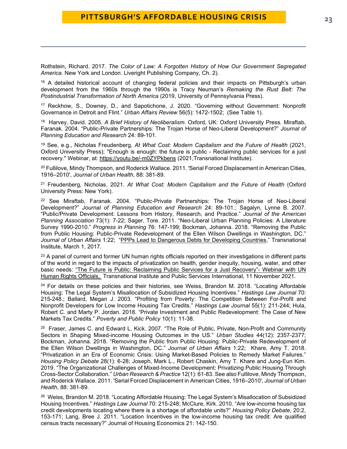Rothstein, Richard. 2017*. The Color of Law: A Forgotten History of How Our Government Segregated America*. New York and London. Liveright Publishing Company, Ch. 2).

<span id="page-22-0"></span><sup>16</sup> A detailed historical account of changing federal policies and their impacts on Pittsburgh's urban development from the 1960s through the 1990s is Tracy Neuman's *Remaking the Rust Belt: The Postindustrial Transformation of North America* (2019, University of Pennsylvania Press).

<span id="page-22-1"></span><sup>17</sup> Reckhow, S., Downey, D., and Sapotichone, J. 2020. "Governing without Government: Nonprofit Governance in Detroit and Flint." *Urban Affairs Review* 56(5): 1472-1502; (See Table 1).

<span id="page-22-2"></span>18 Harvey, David. 2005. *A Brief History of Neoliberalism*. Oxford, UK: Oxford University Press. Miraftab, Faranak. 2004. "Public-Private Partnerships: The Trojan Horse of Neo-Liberal Development?" *Journal of Planning Education and Research* 24: 89-101.

<span id="page-22-3"></span><sup>19</sup> See, e.g., Nicholas Freudenberg, *At What Cost: Modern Capitalism and the Future of Health* (2021, Oxford University Press); "Enough is enough: the future is public - Reclaiming public services for a just recovery." Webinar, at:<https://youtu.be/-m0ZYPkbens> (2021,Transnational Institute).

<span id="page-22-4"></span><sup>20</sup> Fullilove, Mindy Thompson, and Roderick Wallace. 2011. 'Serial Forced Displacement in American Cities, 1916–2010', *Journal of Urban Health*, 88: 381-89.

<span id="page-22-5"></span><sup>21</sup> Freudenberg, Nicholas. 2021. *At What Cost: Modern Capitalism and the Future of Health* (Oxford University Press: New York).

<span id="page-22-6"></span> $22$  See Miraftab, Faranak. 2004. "Public-Private Partnerships: The Trojan Horse of Neo-Liberal Development?" *Journal of Planning Education and Research* 24: 89-101.; Sagalyn, Lynne B. 2007. "Public/Private Development: Lessons from History, Research, and Practice." *Journal of the American Planning Association* 73(1): 7-22; Sager, Tore. 2011. "Neo-Liberal Urban Planning Policies: A Literature Survey 1990-2010." *Progress in Planning* 76: 147-199; Bockman, Johanna. 2018. "Removing the Public from Public Housing: Public-Private Redevelopment of the Ellen Wilson Dwellings in Washington, DC." *Journal of Urban Affairs* 1:22; "PPPs Lead to [Dangerous Debts for Developing Countries,](https://www.tni.org/en/article/opinion-ppps-lead-to-dangerous-debts-for-developing-countries)" Transnational Institute, March 1, 2017.

<span id="page-22-7"></span><sup>23</sup> A panel of current and former UN human rights officials reported on their investigations in different parts of the world in regard to the impacts of privatization on health, gender inequity, housing, water, and other basic needs: "The Future is Public: Reclaiming Public Services for a Just Recovery"- Webinar with UN Human Rights Officials, Transnational Institute and Public Services International, 11 November 2021.

<span id="page-22-8"></span> $24$  For details on these policies and their histories, see Weiss, Brandon M. 2018. "Locating Affordable Housing: The Legal System's Misallocation of Subsidized Housing Incentives." *Hastings Law Journal* 70: 215-248.; Ballard, Megan J. 2003. "Profiting from Poverty: The Competition Between For-Profit and Nonprofit Developers for Low Income Housing Tax Credits." *Hastings Law Journal* 55(1): 211-244; Hula, Robert C. and Marty P. Jordan. 2018. "Private Investment and Public Redevelopment: The Case of New Markets Tax Credits." *Poverty and Public Policy* 10(1): 11-38.

<span id="page-22-9"></span><sup>25</sup> Fraser, James C. and Edward L. Kick. 2007. "The Role of Public, Private, Non-Profit and Community Sectors in Shaping Mixed-income Housing Outcomes in the US." *Urban Studies* 44(12): 2357-2377; Bockman, Johanna. 2018. "Removing the Public from Public Housing: Public-Private Redevelopment of the Ellen Wilson Dwellings in Washington, DC." *Journal of Urban Affairs* 1:22; Khare, Amy T. 2018. "Privatization in an Era of Economic Crisis: Using Market-Based Policies to Remedy Market Failures." *Housing Policy Debate* 28(1): 6-28; Joseph, Mark L., Robert Chaskin, Amy T. Khare and Jung-Eun Kim. 2019. "The Organizational Challenges of Mixed-Income Development: Privatizing Public Housing Through Cross-Sector Collaboration." *Urban Research & Practice* 12(1): 61-83. See also Fullilove, Mindy Thompson, and Roderick Wallace. 2011. 'Serial Forced Displacement in American Cities, 1916–2010', *Journal of Urban Health*, 88: 381-89.

<span id="page-22-10"></span>26 Weiss, Brandon M. 2018. "Locating Affordable Housing: The Legal System's Misallocation of Subsidized Housing Incentives." *Hastings Law Journal* 70: 215-248; McClure, Kirk. 2010. "Are low-income housing tax credit developments locating where there is a shortage of affordable units?" *Housing Policy Debate*, 20:2, 153-171; Lang, Bree J. 2011. "Location Incentives in the low-income housing tax credit: Are qualified census tracts necessary?" Journal of Housing Economics 21: 142-150.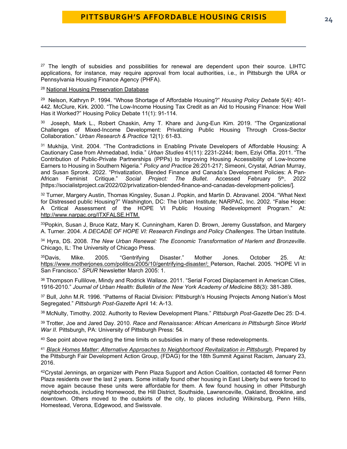<span id="page-23-0"></span> $27$  The length of subsidies and possibilities for renewal are dependent upon their source. LIHTC applications, for instance, may require approval from local authorities, i.e., in Pittsburgh the URA or Pennsylvania Housing Finance Agency (PHFA).

<span id="page-23-1"></span><sup>28</sup> [National Housing Preservation Database](https://preservationdatabase.org/)

<span id="page-23-2"></span>29 Nelson, Kathryn P. 1994. "Whose Shortage of Affordable Housing?" *Housing Policy Debate* 5(4): 401- 442. McClure, Kirk. 2000. "The Low-Income Housing Tax Credit as an Aid to Housing FInance: How Well Has it Worked?" Housing Policy Debate 11(1): 91-114.

<span id="page-23-3"></span>30 Joseph, Mark L., Robert Chaskin, Amy T. Khare and Jung-Eun Kim. 2019. "The Organizational Challenges of Mixed-Income Development: Privatizing Public Housing Through Cross-Sector Collaboration." *Urban Research & Practice* 12(1): 61-83.

<span id="page-23-4"></span><sup>31</sup> Mukhija, Vinit. 2004. "The Contradictions in Enabling Private Developers of Affordable Housing: A Cautionary Case from Ahmedabad, India." *Urban Studies* 41(11): 2231-2244; Ibem, Eziyi Offia. 2011. "The Contribution of Public-Private Partnerships (PPPs) to Improving Housing Accessibility of Low-Income Earners to Housing in Southern Nigeria." *Policy and Practice* 26:201-217; Simeoni, Crystal, Adrian Murray, and Susan Spronk. 2022. "Privatization, Blended Finance and Canada's Development Policies: A Pan-African Feminist Critique." *Social Project: The Bullet*. Accessed February 5th, 2022 [https://socialistproject.ca/2022/02/privatization-blended-finance-and-canadas-development-policies/].

<span id="page-23-5"></span><sup>32</sup> Turner, Margery Austin, Thomas Kingsley, Susan J. Popkin, and Martin D. Abravanel. 2004. "What Next for Distressed public Housing?" Washington, DC: The Urban Institute; NARPAC, Inc. 2002. "False Hope: A Critical Assessment of the HOPE VI Public Housing Redevelopment Program." At: [http://www.narpac.org/ITXFALSE.HTM.](http://www.narpac.org/ITXFALSE.HTM)

<span id="page-23-6"></span>33Popkin, Susan J, Bruce Katz, Mary K. Cunningham, Karen D. Brown, Jeremy Gusstafson, and Margery A. Turner. 2004. *A DECADE OF HOPE VI: Research Findings and Policy Challenges*. The Urban Institute.

<span id="page-23-7"></span><sup>34</sup> Hyra, DS. 2008. *The New Urban Renewal: The Economic Transformation of Harlem and Bronzeville*. Chicago, IL: The University of Chicago Press.

<span id="page-23-8"></span><sup>35</sup>Davis, Mike. 2005. "Gentrifying Disaster." Mother Jones. October 25. At: [https://www.motherjones.com/politics/2005/10/gentrifying-disaster/;](https://www.motherjones.com/politics/2005/10/gentrifying-disaster/) Peterson, Rachel. 2005. "HOPE VI in San Francisco." *SPUR* Newsletter March 2005: 1.

<span id="page-23-9"></span><sup>36</sup> Thompson Fullilove, Mindy and Rodrick Wallace. 2011. "Serial Forced Displacement in American Cities, 1916-2010." *Journal of Urban Health: Bulletin of the New York Academy of Medicine* 88(3): 381-389.

<span id="page-23-10"></span><sup>37</sup> Bull, John M.R. 1996. "Patterns of Racial Division: Pittsburgh's Housing Projects Among Nation's Most Segregated." *Pittsburgh Post-Gazette* April 14: A-13.

<span id="page-23-11"></span><sup>38</sup> McNulty, Timothy. 2002. Authority to Review Development Plans." *Pittsburgh Post-Gazette* Dec 25: D-4.

<span id="page-23-12"></span><sup>39</sup> Trotter, Joe and Jared Day. 2010. *Race and Renaissance: African Americans in Pittsburgh Since World War II.* Pittsburgh, PA: University of Pittsburgh Press: 54.

<span id="page-23-13"></span><sup>40</sup> See point above regarding the time limits on subsidies in many of these redevelopments.

<span id="page-23-14"></span><sup>41</sup> *[Black Homes Matter: Alternative Approaches to Neighborhood Revitalization in Pittsburgh,](https://prrac.org/pdf/Black_Homes_Matter-Pittsburgh.pdf)* Prepared by the Pittsburgh Fair Development Action Group, (FDAG) for the 18th Summit Against Racism, January 23, 2016.

<span id="page-23-15"></span>42Crystal Jennings, an organizer with Penn Plaza Support and Action Coalition, contacted 48 former Penn Plaza residents over the last 2 years. Some initially found other housing in East Liberty but were forced to move again because these units were affordable for them. A few found housing in other Pittsburgh neighborhoods, including Homewood, the Hill District, Southside, Lawrenceville, Oakland, Brookline, and downtown. Others moved to the outskirts of the city, to places including Wilkinsburg, Penn Hills, Homestead, Verona, Edgewood, and Swissvale.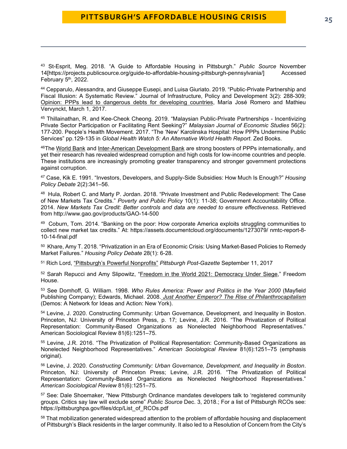<span id="page-24-0"></span><sup>43</sup> St-Esprit, Meg. 2018. "A Guide to Affordable Housing in Pittsburgh." *Public Source* November 14[https://projects.publicsource.org/guide-to-affordable-housing-pittsburgh-pennsylvania/] Accessed February 5<sup>th</sup>, 2022.

<span id="page-24-1"></span><sup>44</sup> Cepparulo, Alessandra, and Giuseppe Eusepi, and Luisa Giuriato. 2019. "Public-Private Partnership and Fiscal Illusion: A Systematic Review." Journal of Infrastructure, Policy and Development 3(2): 288-309; [Opinion: PPPs lead to dangerous debts for developing countries,](https://www.tni.org/en/article/opinion-ppps-lead-to-dangerous-debts-for-developing-countries) María José Romero and Mathieu Vervynckt, March 1, 2017.

<span id="page-24-2"></span><sup>45</sup> Thillainathan, R. and Kee-Cheok Cheong. 2019. "Malaysian Public-Private Partnerships - Incentivizing Private Sector Participation or Facilitating Rent Seeking?" *Malaysian Journal of Economic Studies* 56(2): 177-200. People's Health Movement. 2017. "The 'New' Karolinska Hospital: How PPPs Undermine Public Services" pp.129-135 in *Global Health Watch 5: An Alternative World Health Report*. Zed Books.

<span id="page-24-3"></span>46The [World Bank](https://ppp.worldbank.org/public-private-partnership/overview/practical-tools/good-governance-anticorruption) and [Inter-American Development Bank](https://publications.iadb.org/en/effects-corruption-public-private-partnership-contracts-consequences-zero-tolerance-approach) are strong boosters of PPPs internationally, and yet their research has revealed widespread corruption and high costs for low-income countries and people. These institutions are increasingly promoting greater transparency and stronger government protections against corruption.

<span id="page-24-4"></span><sup>47</sup> Case, Kik E. 1991. "Investors, Developers, and Supply-Side Subsidies: How Much Is Enough?" *Housing Policy Debate* 2(2):341–56.

<span id="page-24-5"></span>48 Hula, Robert C. and Marty P. Jordan. 2018. "Private Investment and Public Redevelopment: The Case of New Markets Tax Credits." *Poverty and Public Policy* 10(1): 11-38; Government Accountability Office. 2014. *New Markets Tax Credit: Better controls and data are needed to ensure effectiveness*. Retrieved from http://www.gao.gov/products/GAO-14-500

<span id="page-24-6"></span>49 Coburn, Tom. 2014. "Banking on the poor: How corporate America exploits struggling communities to collect new market tax credits." At: https://assets.documentcloud.org/documents/1273079/ nmtc-report-8- 10-14-final.pdf

<span id="page-24-7"></span><sup>50</sup> Khare, Amy T. 2018. "Privatization in an Era of Economic Crisis: Using Market-Based Policies to Remedy Market Failures." *Housing Policy Debate* 28(1): 6-28.

<span id="page-24-8"></span><sup>51</sup> Rich Lord, "Pittsburgh's [Powerful Nonprofits"](https://newsinteractive.post-gazette.com/nonprofit/) *Pittsburgh Post-Gazette* September 11, 2017

<span id="page-24-9"></span>52 Sarah Repucci and Amy Slipowitz, ["Freedom in the World 2021: Democracy Under Siege,](https://freedomhouse.org/report/freedom-world/2021/democracy-under-siege)" Freedom House.

<span id="page-24-10"></span><sup>53</sup> See Domhoff, G. William. 1998. *Who Rules America: Power and Politics in the Year 2000* (Mayfield Publishing Company); Edwards, Michael. 2008. *[Just Another Emperor? The Rise of Philanthrocapitalism](https://www.futurepositive.org/edwards_WEB.pdf)* (Demos: A Network for Ideas and Action: New York).

<span id="page-24-11"></span><sup>54</sup> Levine, J. 2020. Constructing Community: Urban Governance, Development, and Inequality in Boston. Princeton, NJ: University of Princeton Press, p. 17; Levine, J.R. 2016. "The Privatization of Political Representation: Community-Based Organizations as Nonelected Neighborhood Representatives." American Sociological Review 81(6):1251–75.

<span id="page-24-12"></span><sup>55</sup> Levine, J.R. 2016. "The Privatization of Political Representation: Community-Based Organizations as Nonelected Neighborhood Representatives." *American Sociological Review* 81(6):1251–75 (emphasis original).

<span id="page-24-13"></span><sup>56</sup> Levine, J. 2020. *Constructing Community: Urban Governance, Development, and Inequality in Boston*. Princeton, NJ: University of Princeton Press; Levine, J.R. 2016. "The Privatization of Political Representation: Community-Based Organizations as Nonelected Neighborhood Representatives." *American Sociological Review* 81(6):1251–75.

<span id="page-24-14"></span><sup>57</sup> See: Dale Shoemake[r, "New Pittsburgh Ordinance mandates developers talk to 'registered community](https://www.publicsource.org/pittsburgh-ordinance-registered-community-organizations/)  [groups. Critics say law will exclude some"](https://www.publicsource.org/pittsburgh-ordinance-registered-community-organizations/) *Public Source* Dec. 3, 2018.; For a list of Pittsburgh RCOs see: https://pittsburghpa.gov/files/dcp/List\_of\_RCOs.pdf

<span id="page-24-15"></span>58 That mobilization generated widespread attention to the problem of affordable housing and displacement of Pittsburgh's Black residents in the larger community. It also led to a Resolution of Concern from the City's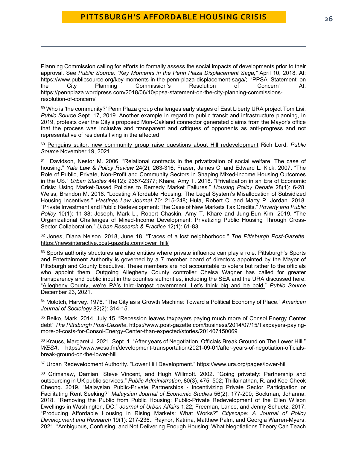Planning Commission calling for efforts to formally assess the social impacts of developments prior to their approval. See *Public Source, "Key Moments in the Penn Plaza Displacement Saga,"* April 10, 2018. At: [https://www.publicsource.org/key-moments-in-the-penn-plaza-displacement-saga/;](https://www.publicsource.org/key-moments-in-the-penn-plaza-displacement-saga/) "PPSA Statement on<br>the City Planning Commission's Resolution of Concern" At: the City Planning Commission's Resolution of Concern" https://pennplaza.wordpress.com/2018/06/10/ppsa-statement-on-the-city-planning-commissionsresolution-of-concern/

<span id="page-25-0"></span><sup>59</sup> [Who is 'the community?' Penn Plaza group challenges early stages of East Liberty URA project](https://www.publicsource.org/who-is-the-community-penn-plaza-group-challenges-early-stages-of-east-liberty-ura-project/) Tom Lisi, *Public Source* Sept. 17, 2019. Another example in regard to public transit and infrastructure planning, In 2019, protests over the City's proposed Mon-Oakland connector generated claims from the Mayor's office that the process was inclusive and transparent and critiques of opponents as anti-progress and not representative of residents living in the affected

<span id="page-25-1"></span><sup>60</sup> [Penguins suitor, new community group raise questions about Hill redevelopment](https://www.publicsource.org/hill-district-pittsburgh-development-penguins-fenway-sports-civic-arena/) Rich Lord, *Public Source* November 19, 2021.

<span id="page-25-2"></span><sup>61</sup> Davidson, Nestor M. 2006. "Relational contracts in the privatization of social welfare: The case of housing." *Yale Law & Policy Review* 24(2), 263-316; Fraser, James C. and Edward L. Kick. 2007. "The Role of Public, Private, Non-Profit and Community Sectors in Shaping Mixed-income Housing Outcomes in the US." *Urban Studies* 44(12): 2357-2377; Khare, Amy T. 2018. "Privatization in an Era of Economic Crisis: Using Market-Based Policies to Remedy Market Failures." *Housing Policy Debate* 28(1): 6-28. Weiss, Brandon M. 2018. "Locating Affordable Housing: The Legal System's Misallocation of Subsidized Housing Incentives." *Hastings Law Journal* 70: 215-248; Hula, Robert C. and Marty P. Jordan. 2018. "Private Investment and Public Redevelopment: The Case of New Markets Tax Credits." *Poverty and Public Policy* 10(1): 11-38; Joseph, Mark L., Robert Chaskin, Amy T. Khare and Jung-Eun Kim. 2019. "The Organizational Challenges of Mixed-Income Development: Privatizing Public Housing Through Cross-Sector Collaboration." *Urban Research & Practice* 12(1): 61-83.

<span id="page-25-3"></span><sup>62</sup> Jones, Diana Nelson. 2018, June 18. "Traces of a lost neighborhood." *The Pittsburgh Post-Gazette*. [https://newsinteractive.post-gazette.com/lower\\_hill/](https://newsinteractive.post-gazette.com/lower_hill/) 

<span id="page-25-4"></span>63 Sports authority structures are also entities where private influence can play a role. Pittsburgh's Sports and Entertainment Authority is governed by a 7 member board of directors appointed by the Mayor of Pittsburgh and County Executive. These members are not accountable to voters but rather to the officials who appoint them. Outgoing Allegheny County controller Chelsa Wagner has called for greater transparency and public input in the counties authorities, including the SEA and the URA discussed here. ["Allegheny County, we're PA's third-largest government. Let's think big and be bold."](https://www.publicsource.org/allegheny-county-were-pas-third-largest-government-lets-think-big-and-be-bold/) *Public Source* December 23, 2021.

<span id="page-25-5"></span><sup>64</sup> Molotch, Harvey. 1976. "The City as a Growth Machine: Toward a Political Economy of Place." *American Journal of Sociology* 82(2): 314-15.

<span id="page-25-6"></span><sup>65</sup> Belko, Mark. 2014, July 15. "Recession leaves taxpayers paying much more of Consol Energy Center debt" *The Pittsburgh Post-Gazette*. https://www.post-gazette.com/business/2014/07/15/Taxpayers-payingmore-of-costs-for-Consol-Energy-Center-than-expected/stories/201407150069

<span id="page-25-7"></span>66 Krauss, Margaret J. 2021, Sept. 1. "After years of Negotiation, Officials Break Ground on The Lower Hill." *WESA*. https://www.wesa.fm/development-transportation/2021-09-01/after-years-of-negotiation-officialsbreak-ground-on-the-lower-hill

<span id="page-25-8"></span><sup>67</sup> Urban Redevelopment Authority. "Lower Hill Development." https://www.ura.org/pages/lower-hill

<span id="page-25-9"></span>68 Grimshaw, Damian, Steve Vincent, and Hugh Willmott. 2002. "Going privately: Partnership and outsourcing in UK public services." *Public Administration*, 80(3), 475–502; Thillainathan, R. and Kee-Cheok Cheong. 2019. "Malaysian Public-Private Partnerships - Incentivizing Private Sector Participation or Facilitating Rent Seeking?" *Malaysian Journal of Economic Studies* 56(2): 177-200; Bockman, Johanna. 2018. "Removing the Public from Public Housing: Public-Private Redevelopment of the Ellen Wilson Dwellings in Washington, DC." *Journal of Urban Affairs* 1:22; Freeman, Lance, and Jenny Schuetz. 2017. "Producing Affordable Housing in Rising Markets: What Works?" *Cityscape: A Journal of Policy Development and Research* 19(1): 217-236.; Raynor, Katrina, Matthew Palm, and Georgia Warren-Myers. 2021. "Ambiguous, Confusing, and Not Delivering Enough Housing: What Negotiations Theory Can Teach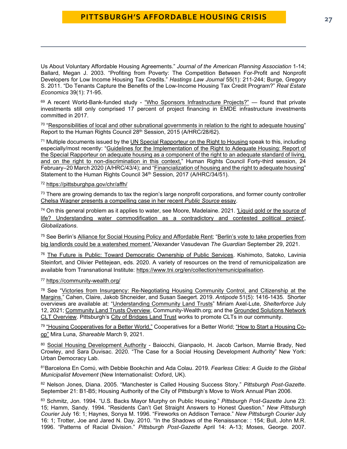Us About Voluntary Affordable Housing Agreements." *Journal of the American Planning Association* 1-14; Ballard, Megan J. 2003. "Profiting from Poverty: The Competition Between For-Profit and Nonprofit Developers for Low Income Housing Tax Credits." *Hastings Law Journal* 55(1): 211-244; Burge, Gregory S. 2011. "Do Tenants Capture the Benefits of the Low-Income Housing Tax Credit Program?" *Real Estate Economics* 39(1): 71-95.

<span id="page-26-0"></span>69 A recent World-Bank-funded study - ["Who Sponsors Infrastructure Projects?"](https://library.pppknowledgelab.org/documents/5719/download) — found that private investments still only comprised 17 percent of project financing in EMDE infrastructure investments committed in 2017.

<span id="page-26-1"></span>70 ["Responsibilities of local and other subnational governments in relation to the right to adequate housing"](https://undocs.org/A/HRC/28/62) Report to the Human Rights Council 28<sup>th</sup> Session, 2015 (A/HRC/28/62).

<span id="page-26-2"></span><sup>71</sup> Multiple documents issued by the [UN Special Rapporteur on the Right to Housing](https://www.ohchr.org/en/issues/housing) speak to this, including especially/most recently: ["Guidelines for the Implementation of the Right to Adequate Housing: Report of](https://www.undocs.org/A/HRC/43/43)  [the Special Rapporteur on adequate housing as a component of the right to an adequate standard of living,](https://www.undocs.org/A/HRC/43/43)  [and on the right to non-discrimination in this context,"](https://www.undocs.org/A/HRC/43/43) Human Rights Council Forty-third session, 24 February–20 March 2020 (A/HRC/43/4); and ["Financialization of housing and the right to adequate housing"](https://undocs.org/A/HRC/34/51) Statement to the Human Rights Council 34<sup>th</sup> Session, 2017 (A/HRC/34/51).

#### <span id="page-26-3"></span><sup>72</sup> <https://pittsburghpa.gov/chr/affh/>

<span id="page-26-4"></span> $73$  There are growing demands to tax the region's large nonprofit corporations, and former county controller [Chelsa Wagner presents a compelling case in her recent](https://www.publicsource.org/allegheny-county-were-pas-third-largest-government-lets-think-big-and-be-bold/) *Public Source* essay.

<span id="page-26-5"></span><sup>74</sup> On this general problem as it applies to water, see Moore, Madelaine. 2021. ['Liquid gold or the source of](https://www.tandfonline.com/doi/abs/10.1080/14747731.2021.2011586)  [life? Understanding water commodification as a contradictory and contested political project',](https://www.tandfonline.com/doi/abs/10.1080/14747731.2021.2011586) *Globalizations*.

<span id="page-26-6"></span><sup>75</sup> See Berlin's [Alliance for Social Housing Policy and Affordable Rent;](https://www.stadtentwicklung.berlin.de/wohnen/wohnungsbau/en/mietenbuendnis/) ["Berlin's vote to take properties from](https://www.theguardian.com/commentisfree/2021/sep/29/berlin-vote-landlords-referendum-corporate)  [big landlords could be a watershed moment,](https://www.theguardian.com/commentisfree/2021/sep/29/berlin-vote-landlords-referendum-corporate)"Alexander Vasudevan *The Guardian* September 29, 2021.

<span id="page-26-7"></span><sup>76</sup> [The Future is Public: Toward Democratic Ownership of Public Services.](https://www.tni.org/en/futureispublic) Kishimoto, Satoko, Lavinia Steinfort, and Olivier Petitejean, eds. 2020. A variety of resources on the trend of remunicipalization are available from Transnational Institute: [https://www.tni.org/en/collection/remunicipalisation.](https://www.tni.org/en/collection/remunicipalisation)

#### <span id="page-26-8"></span><sup>77</sup> <https://community-wealth.org/>

<span id="page-26-9"></span> $78$  See "Victories from Insurgency: Re-Negotiating Housing Community Control, and Citizenship at the [Margins."](https://opencuny.org/socialpsych/files/2019/09/anti.12558.pdf) Cahen, Claire, Jakob Shcneider, and Susan Saegert. 2019. *Antipode* 51(5): 1416-1435. Shorter overviews are available at: ["Understanding Community Land Trusts"](https://shelterforce.org/2021/07/12/understanding-community-land-trusts/) Miriam Axel-Lute, *Shelterforce* July 12, 2021[; Community Land Trusts Overview,](https://community-wealth.org/strategies/panel/clts/index.html) Community-Wealth.org; and the [Grounded Solutions Network](https://groundedsolutions.org/strengthening-neighborhoods/community-land-trusts)  [CLT Overview.](https://groundedsolutions.org/strengthening-neighborhoods/community-land-trusts) Pittsburgh's [City of Bridges Land Trust](https://cityofbridgesclt.org/) works to promote CLTs in our community.

<span id="page-26-10"></span><sup>79</sup> ["Housing Cooperatives for a Better World,"](https://betterworld.coop/sectors/sector-housing/) Cooperatives for a Better World; ["How to Start a Housing Co](https://www.shareable.net/how-to-start-a-housing-co-op/)[op"](https://www.shareable.net/how-to-start-a-housing-co-op/) Mira Luna, *Shareable* March 9, 2021.

<span id="page-26-11"></span>80 [Social Housing Development Authority](https://urbandemos.nyu.edu/2020/11/23/the-shda-a-proposal/) - Baiocchi, Gianpaolo, H. Jacob Carlson, Marnie Brady, Ned Crowley, and Sara Duvisac. 2020. "The Case for a Social Housing Development Authority" New York: Urban Democracy Lab.

<span id="page-26-12"></span><sup>81</sup>Barcelona En Comύ, with Debbie Bookchin and Ada Colau. 2019. *Fearless Cities: A Guide to the Global Municipalist Movement* (New Internationalist: Oxford, UK).

<span id="page-26-13"></span><sup>82</sup> Nelson Jones, Diana. 2005. "Manchester is Called Housing Success Story." *Pittsburgh Post-Gazette*. September 21: B1-B5; Housing Authority of the City of Pittsburgh's Move to Work Annual Plan 2006.

<span id="page-26-14"></span><sup>83</sup> Schmitz, Jon. 1994. "U.S. Backs Mayor Murphy on Public Housing." *Pittsburgh Post-Gazette* June 23: 15; Hamm, Sandy. 1994. "Residents Can't Get Straight Answers to Honest Question." *New Pittsburgh Courier* July 16: 1; Haynes, Sonya M. 1996. "Fireworks on Addison Terrace." *New Pittsburgh Courier* July 16: 1; Trotter, Joe and Jared N. Day. 2010. "In the Shadows of the Renaissance: : 154; Bull, John M.R. 1996. "Patterns of Racial Division." *Pittsburgh Post-Gazette* April 14: A-13; Moses, George. 2007.